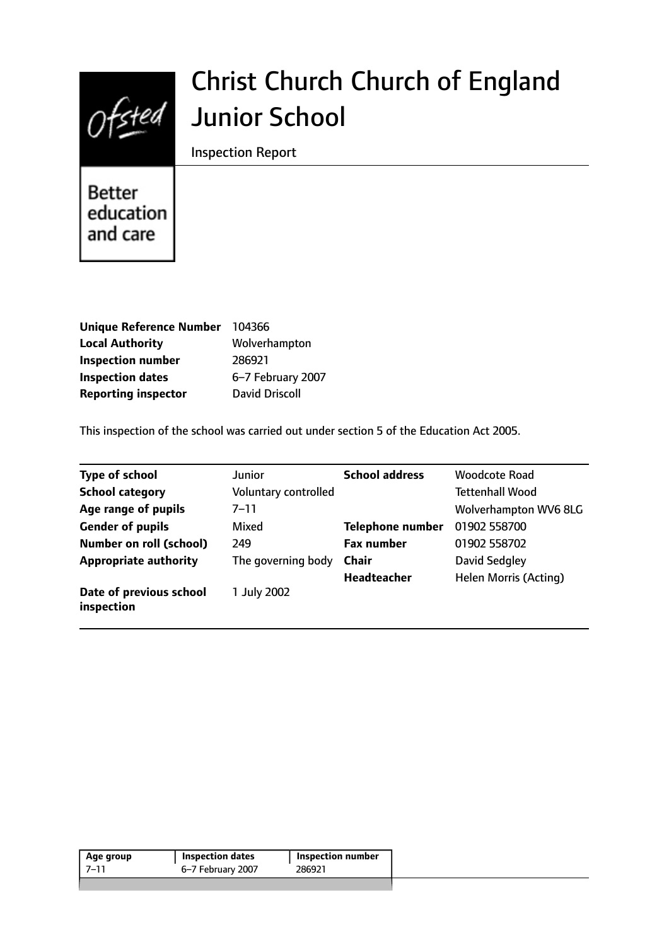

# Christ Church Church of England Junior School

Inspection Report

**Better** education and care

| <b>Unique Reference Number</b> | 104366                |
|--------------------------------|-----------------------|
| <b>Local Authority</b>         | Wolverhampton         |
| <b>Inspection number</b>       | 286921                |
| <b>Inspection dates</b>        | 6-7 February 2007     |
| <b>Reporting inspector</b>     | <b>David Driscoll</b> |

This inspection of the school was carried out under section 5 of the Education Act 2005.

| <b>Type of school</b>                 | Junior               | <b>School address</b>   | Woodcote Road          |
|---------------------------------------|----------------------|-------------------------|------------------------|
| <b>School category</b>                | Voluntary controlled |                         | <b>Tettenhall Wood</b> |
| Age range of pupils                   | 7–11                 |                         | Wolverhampton WV6 8LG  |
| <b>Gender of pupils</b>               | Mixed                | <b>Telephone number</b> | 01902 558700           |
| <b>Number on roll (school)</b>        | 249                  | <b>Fax number</b>       | 01902 558702           |
| <b>Appropriate authority</b>          | The governing body   | <b>Chair</b>            | David Sedgley          |
|                                       |                      | <b>Headteacher</b>      | Helen Morris (Acting)  |
| Date of previous school<br>inspection | 1 July 2002          |                         |                        |

| 6–7 February 2007<br>286921<br>-7–11 | Age group | <b>Inspection dates</b> | <b>Inspection number</b> |  |
|--------------------------------------|-----------|-------------------------|--------------------------|--|
|                                      |           |                         |                          |  |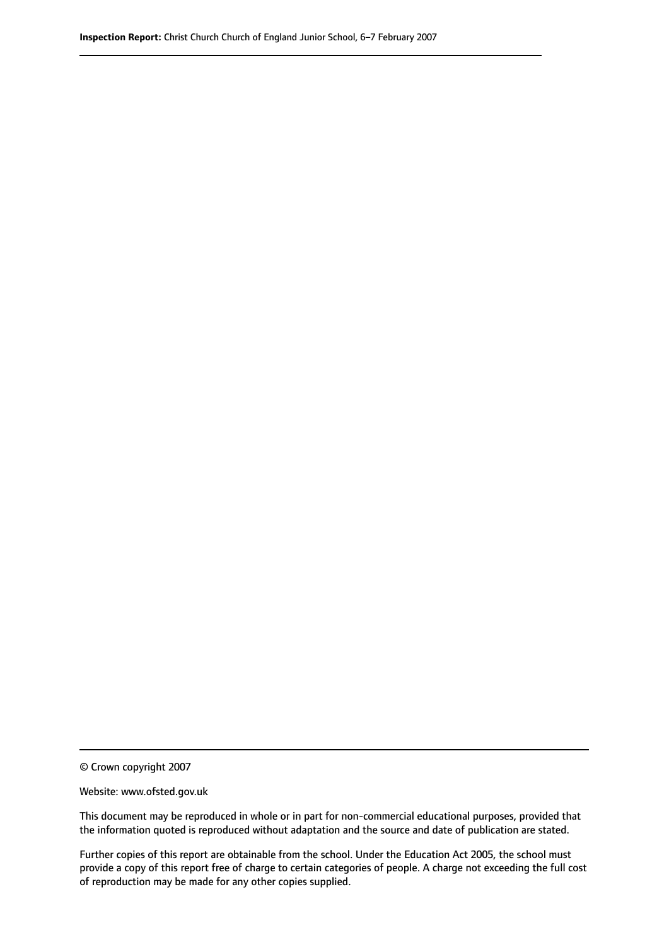© Crown copyright 2007

Website: www.ofsted.gov.uk

This document may be reproduced in whole or in part for non-commercial educational purposes, provided that the information quoted is reproduced without adaptation and the source and date of publication are stated.

Further copies of this report are obtainable from the school. Under the Education Act 2005, the school must provide a copy of this report free of charge to certain categories of people. A charge not exceeding the full cost of reproduction may be made for any other copies supplied.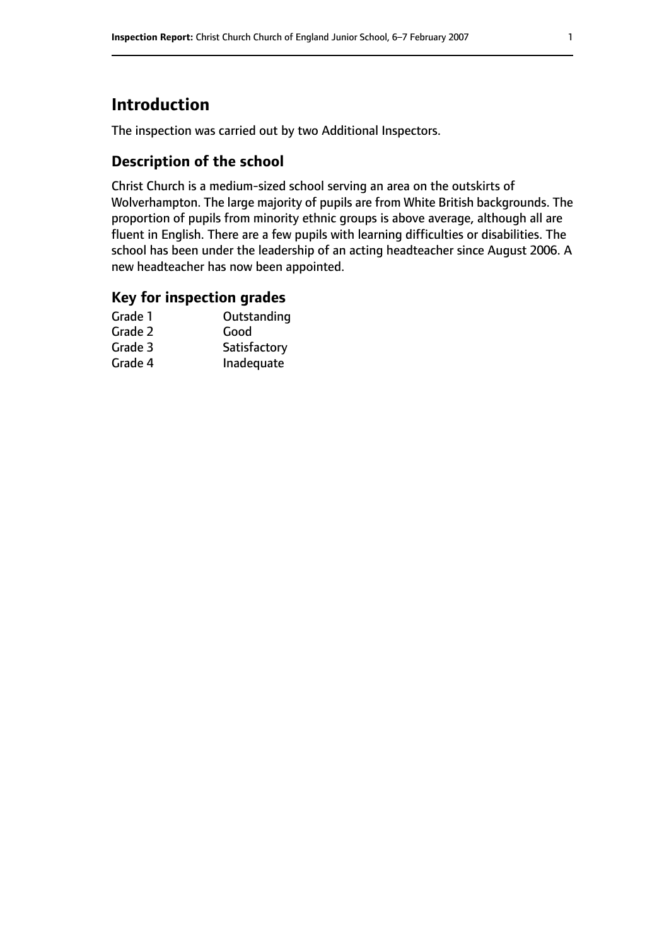# **Introduction**

The inspection was carried out by two Additional Inspectors.

## **Description of the school**

Christ Church is a medium-sized school serving an area on the outskirts of Wolverhampton. The large majority of pupils are from White British backgrounds. The proportion of pupils from minority ethnic groups is above average, although all are fluent in English. There are a few pupils with learning difficulties or disabilities. The school has been under the leadership of an acting headteacher since August 2006. A new headteacher has now been appointed.

### **Key for inspection grades**

| Outstanding  |
|--------------|
| Good         |
| Satisfactory |
| Inadequate   |
|              |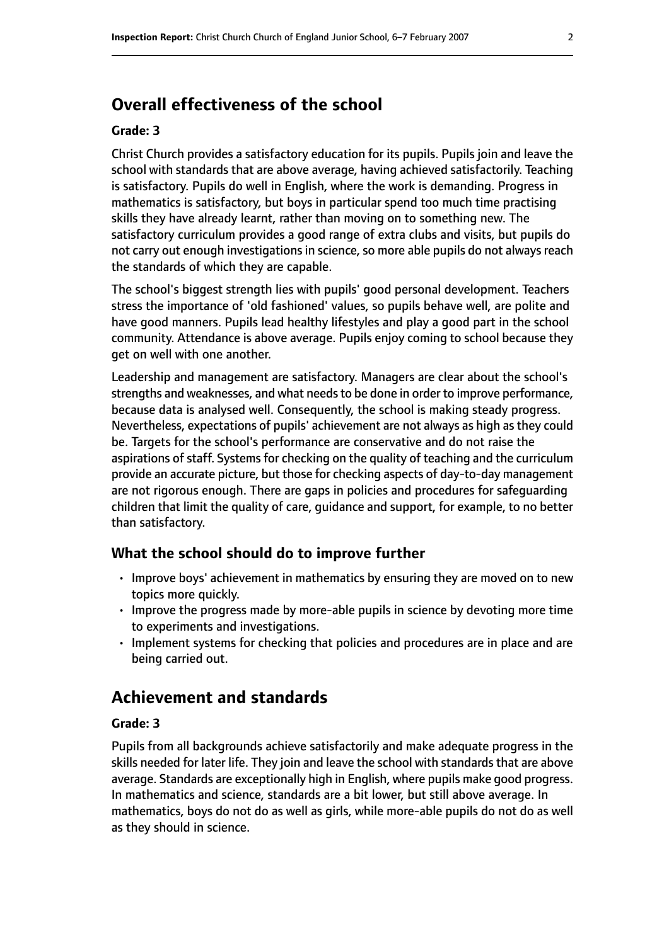# **Overall effectiveness of the school**

#### **Grade: 3**

Christ Church provides a satisfactory education for its pupils. Pupils join and leave the school with standards that are above average, having achieved satisfactorily. Teaching is satisfactory. Pupils do well in English, where the work is demanding. Progress in mathematics is satisfactory, but boys in particular spend too much time practising skills they have already learnt, rather than moving on to something new. The satisfactory curriculum provides a good range of extra clubs and visits, but pupils do not carry out enough investigations in science, so more able pupils do not always reach the standards of which they are capable.

The school's biggest strength lies with pupils' good personal development. Teachers stress the importance of 'old fashioned' values, so pupils behave well, are polite and have good manners. Pupils lead healthy lifestyles and play a good part in the school community. Attendance is above average. Pupils enjoy coming to school because they get on well with one another.

Leadership and management are satisfactory. Managers are clear about the school's strengths and weaknesses, and what needs to be done in order to improve performance, because data is analysed well. Consequently, the school is making steady progress. Nevertheless, expectations of pupils' achievement are not always as high as they could be. Targets for the school's performance are conservative and do not raise the aspirations of staff. Systems for checking on the quality of teaching and the curriculum provide an accurate picture, but those for checking aspects of day-to-day management are not rigorous enough. There are gaps in policies and procedures for safeguarding children that limit the quality of care, guidance and support, for example, to no better than satisfactory.

#### **What the school should do to improve further**

- Improve boys' achievement in mathematics by ensuring they are moved on to new topics more quickly.
- Improve the progress made by more-able pupils in science by devoting more time to experiments and investigations.
- Implement systems for checking that policies and procedures are in place and are being carried out.

## **Achievement and standards**

#### **Grade: 3**

Pupils from all backgrounds achieve satisfactorily and make adequate progress in the skills needed for later life. They join and leave the school with standards that are above average. Standards are exceptionally high in English, where pupils make good progress. In mathematics and science, standards are a bit lower, but still above average. In mathematics, boys do not do as well as girls, while more-able pupils do not do as well as they should in science.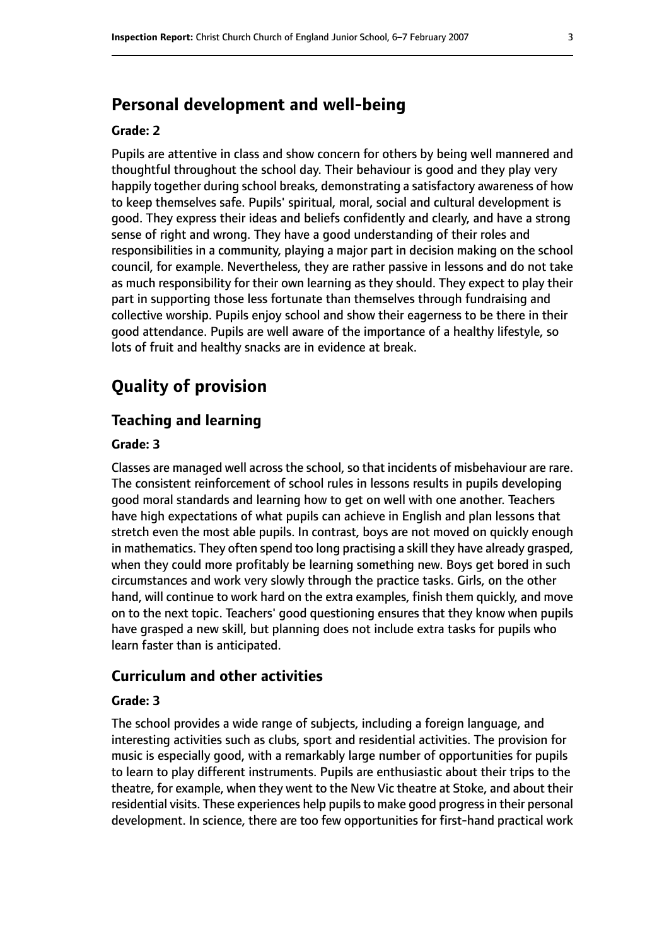# **Personal development and well-being**

#### **Grade: 2**

Pupils are attentive in class and show concern for others by being well mannered and thoughtful throughout the school day. Their behaviour is good and they play very happily together during school breaks, demonstrating a satisfactory awareness of how to keep themselves safe. Pupils' spiritual, moral, social and cultural development is good. They express their ideas and beliefs confidently and clearly, and have a strong sense of right and wrong. They have a good understanding of their roles and responsibilities in a community, playing a major part in decision making on the school council, for example. Nevertheless, they are rather passive in lessons and do not take as much responsibility for their own learning as they should. They expect to play their part in supporting those less fortunate than themselves through fundraising and collective worship. Pupils enjoy school and show their eagerness to be there in their good attendance. Pupils are well aware of the importance of a healthy lifestyle, so lots of fruit and healthy snacks are in evidence at break.

# **Quality of provision**

#### **Teaching and learning**

#### **Grade: 3**

Classes are managed well across the school, so that incidents of misbehaviour are rare. The consistent reinforcement of school rules in lessons results in pupils developing good moral standards and learning how to get on well with one another. Teachers have high expectations of what pupils can achieve in English and plan lessons that stretch even the most able pupils. In contrast, boys are not moved on quickly enough in mathematics. They often spend too long practising a skill they have already grasped, when they could more profitably be learning something new. Boys get bored in such circumstances and work very slowly through the practice tasks. Girls, on the other hand, will continue to work hard on the extra examples, finish them quickly, and move on to the next topic. Teachers' good questioning ensures that they know when pupils have grasped a new skill, but planning does not include extra tasks for pupils who learn faster than is anticipated.

#### **Curriculum and other activities**

#### **Grade: 3**

The school provides a wide range of subjects, including a foreign language, and interesting activities such as clubs, sport and residential activities. The provision for music is especially good, with a remarkably large number of opportunities for pupils to learn to play different instruments. Pupils are enthusiastic about their trips to the theatre, for example, when they went to the New Vic theatre at Stoke, and about their residential visits. These experiences help pupils to make good progress in their personal development. In science, there are too few opportunities for first-hand practical work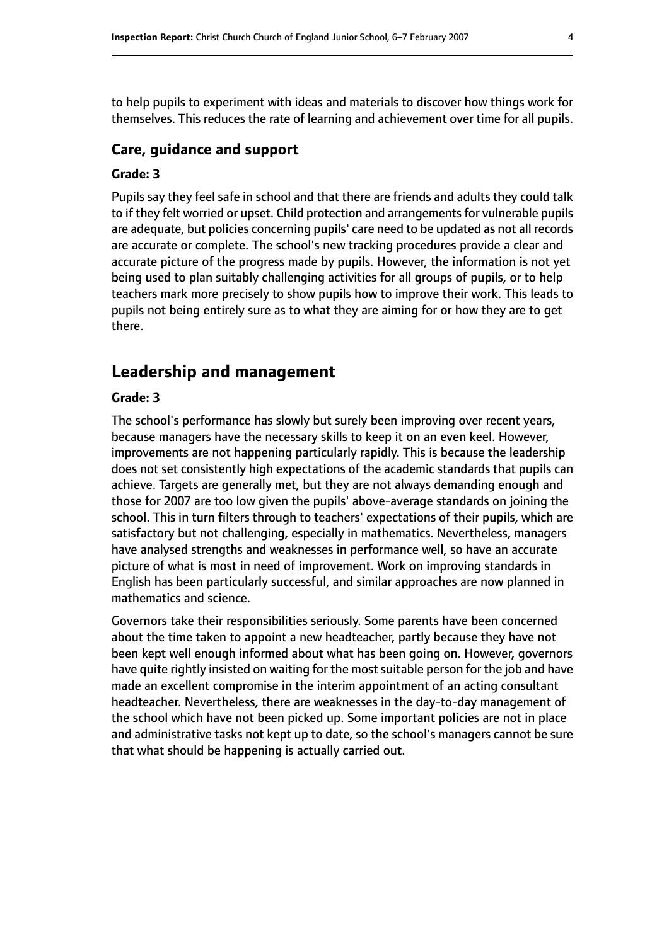to help pupils to experiment with ideas and materials to discover how things work for themselves. This reduces the rate of learning and achievement over time for all pupils.

#### **Care, guidance and support**

#### **Grade: 3**

Pupils say they feel safe in school and that there are friends and adults they could talk to if they felt worried or upset. Child protection and arrangements for vulnerable pupils are adequate, but policies concerning pupils' care need to be updated as not all records are accurate or complete. The school's new tracking procedures provide a clear and accurate picture of the progress made by pupils. However, the information is not yet being used to plan suitably challenging activities for all groups of pupils, or to help teachers mark more precisely to show pupils how to improve their work. This leads to pupils not being entirely sure as to what they are aiming for or how they are to get there.

## **Leadership and management**

#### **Grade: 3**

The school's performance has slowly but surely been improving over recent years, because managers have the necessary skills to keep it on an even keel. However, improvements are not happening particularly rapidly. This is because the leadership does not set consistently high expectations of the academic standards that pupils can achieve. Targets are generally met, but they are not always demanding enough and those for 2007 are too low given the pupils' above-average standards on joining the school. This in turn filters through to teachers' expectations of their pupils, which are satisfactory but not challenging, especially in mathematics. Nevertheless, managers have analysed strengths and weaknesses in performance well, so have an accurate picture of what is most in need of improvement. Work on improving standards in English has been particularly successful, and similar approaches are now planned in mathematics and science.

Governors take their responsibilities seriously. Some parents have been concerned about the time taken to appoint a new headteacher, partly because they have not been kept well enough informed about what has been going on. However, governors have quite rightly insisted on waiting for the most suitable person for the job and have made an excellent compromise in the interim appointment of an acting consultant headteacher. Nevertheless, there are weaknesses in the day-to-day management of the school which have not been picked up. Some important policies are not in place and administrative tasks not kept up to date, so the school's managers cannot be sure that what should be happening is actually carried out.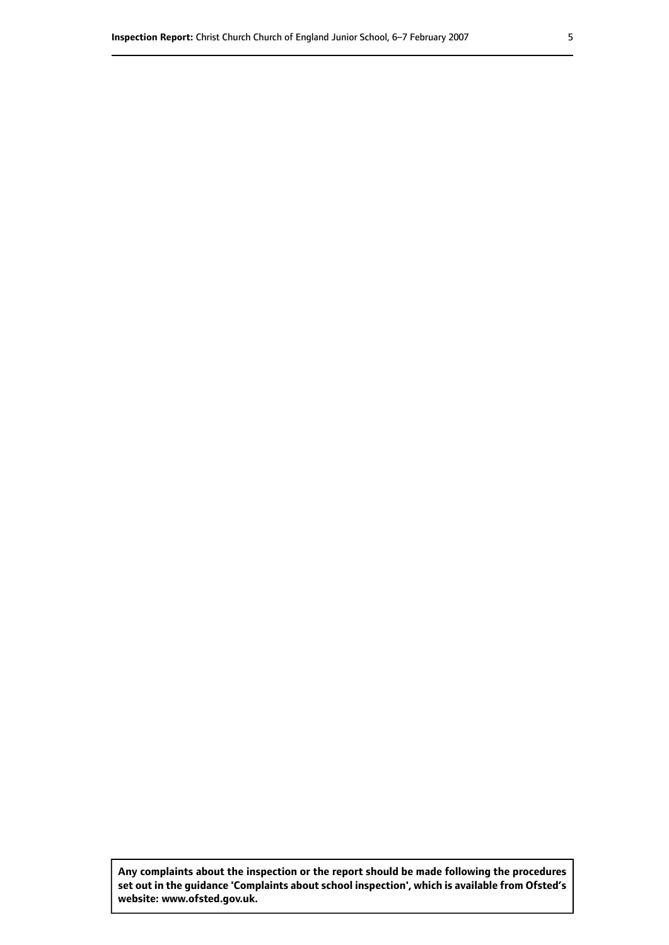**Any complaints about the inspection or the report should be made following the procedures set out inthe guidance 'Complaints about school inspection', whichis available from Ofsted's website: www.ofsted.gov.uk.**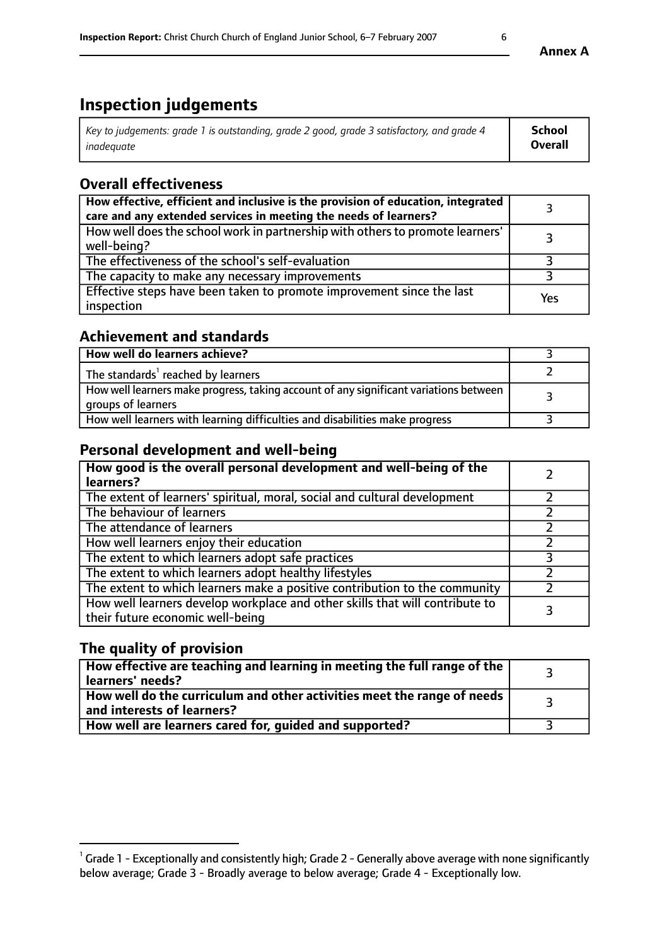# **Inspection judgements**

| Key to judgements: grade 1 is outstanding, grade 2 good, grade 3 satisfactory, and grade 4 | School         |
|--------------------------------------------------------------------------------------------|----------------|
| inadeauate                                                                                 | <b>Overall</b> |

# **Overall effectiveness**

| How effective, efficient and inclusive is the provision of education, integrated<br>care and any extended services in meeting the needs of learners? |     |
|------------------------------------------------------------------------------------------------------------------------------------------------------|-----|
| How well does the school work in partnership with others to promote learners'<br>well-being?                                                         |     |
| The effectiveness of the school's self-evaluation                                                                                                    |     |
| The capacity to make any necessary improvements                                                                                                      |     |
| Effective steps have been taken to promote improvement since the last<br>inspection                                                                  | Yes |

## **Achievement and standards**

| How well do learners achieve?                                                                               |  |
|-------------------------------------------------------------------------------------------------------------|--|
| The standards <sup>1</sup> reached by learners                                                              |  |
| How well learners make progress, taking account of any significant variations between<br>groups of learners |  |
| How well learners with learning difficulties and disabilities make progress                                 |  |

## **Personal development and well-being**

| How good is the overall personal development and well-being of the<br>learners?                                  |   |
|------------------------------------------------------------------------------------------------------------------|---|
| The extent of learners' spiritual, moral, social and cultural development                                        |   |
| The behaviour of learners                                                                                        |   |
| The attendance of learners                                                                                       |   |
| How well learners enjoy their education                                                                          |   |
| The extent to which learners adopt safe practices                                                                |   |
| The extent to which learners adopt healthy lifestyles                                                            |   |
| The extent to which learners make a positive contribution to the community                                       |   |
| How well learners develop workplace and other skills that will contribute to<br>their future economic well-being | 3 |

# **The quality of provision**

| How effective are teaching and learning in meeting the full range of the<br>learners' needs?            |  |
|---------------------------------------------------------------------------------------------------------|--|
| How well do the curriculum and other activities meet the range of needs  <br>and interests of learners? |  |
| How well are learners cared for, quided and supported?                                                  |  |

 $^1$  Grade 1 - Exceptionally and consistently high; Grade 2 - Generally above average with none significantly below average; Grade 3 - Broadly average to below average; Grade 4 - Exceptionally low.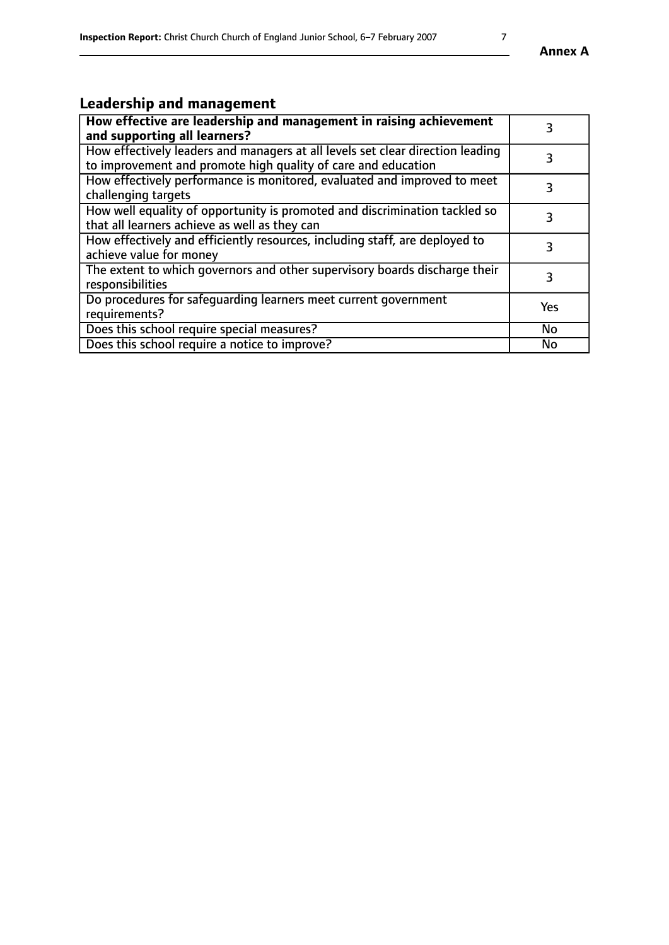# **Leadership and management**

| How effective are leadership and management in raising achievement<br>and supporting all learners?                                              | 3         |
|-------------------------------------------------------------------------------------------------------------------------------------------------|-----------|
| How effectively leaders and managers at all levels set clear direction leading<br>to improvement and promote high quality of care and education |           |
| How effectively performance is monitored, evaluated and improved to meet<br>challenging targets                                                 | 3         |
| How well equality of opportunity is promoted and discrimination tackled so<br>that all learners achieve as well as they can                     |           |
| How effectively and efficiently resources, including staff, are deployed to<br>achieve value for money                                          | 3         |
| The extent to which governors and other supervisory boards discharge their<br>responsibilities                                                  | 3         |
| Do procedures for safequarding learners meet current government<br>requirements?                                                                | Yes       |
| Does this school require special measures?                                                                                                      | No        |
| Does this school require a notice to improve?                                                                                                   | <b>No</b> |